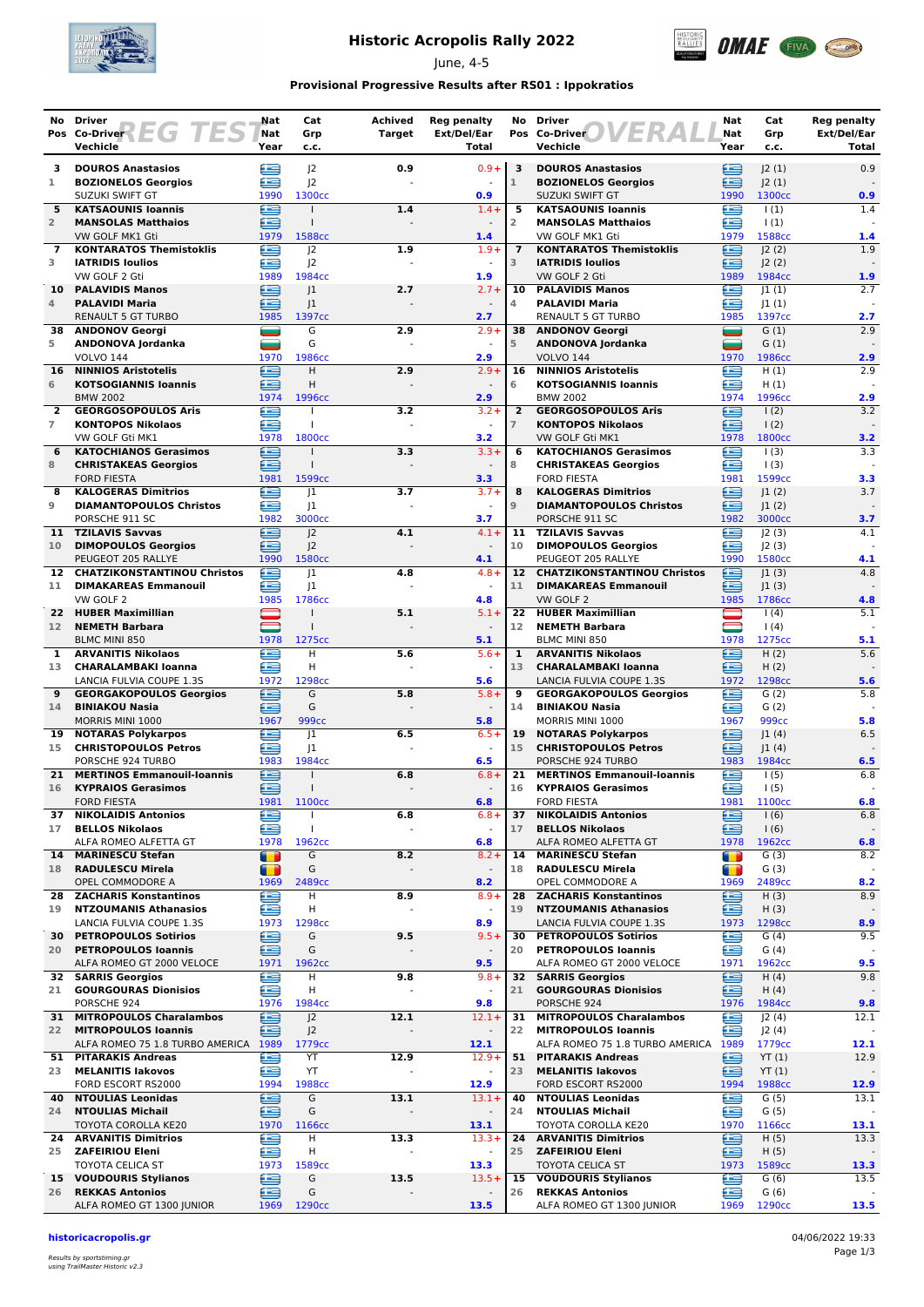

## **Historic Acropolis Rally 2022**

June, 4-5



### **Provisional Progressive Results after RS01 : Ippokratios**

| No              | <b>Driver</b><br>Pos Co-Driver $F \in G$ $T \in S$                 | Nat<br>Nat     | Cat<br>Grp                           | Achived<br>Target     | <b>Reg penalty</b><br>Ext/Del/Ear | No             | <b>Driver</b><br><b>VERA</b><br>Pos Co-Driver                 | Nat<br>Nat                                  | Cat<br>Grp                 | <b>Reg penalty</b><br>Ext/Del/Ear |
|-----------------|--------------------------------------------------------------------|----------------|--------------------------------------|-----------------------|-----------------------------------|----------------|---------------------------------------------------------------|---------------------------------------------|----------------------------|-----------------------------------|
|                 | Vechicle                                                           | Year           | c.c.                                 |                       | Total                             |                | Vechicle                                                      | Year                                        | c.c.                       | Total                             |
| з               | <b>DOUROS Anastasios</b>                                           | ≘              | 2                                    | 0.9                   | $0.9 +$                           | 3              | <b>DOUROS Anastasios</b>                                      | ∈                                           | 2(1)                       | 0.9                               |
| 1               | <b>BOZIONELOS Georgios</b><br><b>SUZUKI SWIFT GT</b>               | æ<br>1990      | 2<br>1300 <sub>cc</sub>              |                       | 0.9                               | $1\,$          | <b>BOZIONELOS Georgios</b><br>SUZUKI SWIFT GT                 | æ<br>1990                                   | J2(1)<br>1300cc            | 0.9                               |
| 5               | <b>KATSAOUNIS Ioannis</b>                                          | ∈              |                                      | 1.4                   | $1.4 +$                           | 5              | <b>KATSAOUNIS Ioannis</b>                                     | œ                                           | 1(1)                       | 1.4                               |
| $\overline{2}$  | <b>MANSOLAS Matthaios</b>                                          | œ              | $\mathbf{I}$                         |                       | $\sim$                            | $\overline{2}$ | <b>MANSOLAS Matthaios</b>                                     | œ                                           | 1(1)                       |                                   |
| 7               | VW GOLF MK1 Gti<br><b>KONTARATOS Themistoklis</b>                  | 1979<br>£      | 1588cc<br> 2                         | 1.9                   | 1.4<br>$1.9+$                     | $\overline{7}$ | VW GOLF MK1 Gti<br><b>KONTARATOS Themistoklis</b>             | 1979<br>£                                   | 1588cc<br>J2(2)            | 1.4<br>1.9                        |
| 3               | <b>IATRIDIS Ioulios</b>                                            | e              | J <sub>2</sub>                       |                       | $\sim$                            | 3              | <b>IATRIDIS Ioulios</b>                                       | ⋐                                           | 2(2)                       |                                   |
|                 | VW GOLF 2 Gti                                                      | 1989           | 1984cc                               |                       | 1.9                               |                | VW GOLF 2 Gti                                                 | 1989                                        | 1984cc                     | 1.9                               |
| 10<br>4         | <b>PALAVIDIS Manos</b><br><b>PALAVIDI Maria</b>                    | £<br>≘         | 1<br> 1                              | 2.7                   | $2.7 +$<br>$\sim$                 | 10<br>4        | <b>PALAVIDIS Manos</b><br><b>PALAVIDI Maria</b>               | £<br>≘                                      | 1(1) <br> 1(1)             | 2.7                               |
|                 | <b>RENAULT 5 GT TURBO</b>                                          | 1985           | 1397cc                               |                       | 2.7                               |                | <b>RENAULT 5 GT TURBO</b>                                     | 1985                                        | 1397cc                     | 2.7                               |
| 38<br>5         | <b>ANDONOV Georgi</b><br>ANDONOVA Jordanka                         | ᆖ<br>نیک       | G<br>G                               | 2.9                   | $2.9+$<br>$\sim$                  | 5              | 38 ANDONOV Georgi<br>ANDONOVA Jordanka                        | ▄<br>=                                      | G(1)<br>G(1)               | 2.9                               |
|                 | <b>VOLVO 144</b>                                                   | 1970           | 1986cc                               |                       | 2.9                               |                | <b>VOLVO 144</b>                                              | 1970                                        | 1986cc                     | 2.9                               |
| 16              | <b>NINNIOS Aristotelis</b>                                         | œ              | H.                                   | 2.9                   | $2.9+$                            | 16             | <b>NINNIOS Aristotelis</b>                                    | £                                           | H(1)                       | 2.9                               |
| 6               | <b>KOTSOGIANNIS Ioannis</b><br><b>BMW 2002</b>                     | ∈<br>1974      | H<br>1996cc                          |                       | 2.9                               | 6              | <b>KOTSOGIANNIS Ioannis</b><br><b>BMW 2002</b>                | œ<br>1974                                   | H(1)<br>1996cc             | 2.9                               |
| $\mathbf{2}$    | <b>GEORGOSOPOULOS Aris</b>                                         | œ              |                                      | 3.2                   | $3.2 +$                           | $\overline{2}$ | <b>GEORGOSOPOULOS Aris</b>                                    | œ                                           | 1(2)                       | 3.2                               |
| $\overline{7}$  | <b>KONTOPOS Nikolaos</b>                                           | £              | $\mathbf{I}$                         |                       |                                   | $\overline{7}$ | <b>KONTOPOS Nikolaos</b>                                      | £                                           | 1(2)                       |                                   |
| 6               | VW GOLF Gti MK1<br><b>KATOCHIANOS Gerasimos</b>                    | 1978<br>⊟      | 1800cc<br>$\mathbf{I}$               | 3.3                   | 3.2<br>$3.3 +$                    | 6              | VW GOLF Gti MK1<br><b>KATOCHIANOS Gerasimos</b>               | 1978<br>œ                                   | 1800 <sub>cc</sub><br>1(3) | 3.2<br>3.3                        |
| 8               | <b>CHRISTAKEAS Georgios</b>                                        | æ              | $\mathbf{I}$                         |                       | $\sim$                            | 8              | <b>CHRISTAKEAS Georgios</b>                                   | œ                                           | 1(3)                       |                                   |
| 8               | <b>FORD FIESTA</b><br><b>KALOGERAS Dimitrios</b>                   | 1981<br>≘      | 1599 <sub>cc</sub><br> 1             | 3.7                   | 3.3<br>$3.7 +$                    | 8              | <b>FORD FIESTA</b><br><b>KALOGERAS Dimitrios</b>              | 1981<br>œ                                   | 1599cc<br> 1(2)            | 3.3<br>3.7                        |
| 9               | <b>DIAMANTOPOULOS Christos</b>                                     | ≘              | 1                                    |                       | $\sim$                            | 9              | <b>DIAMANTOPOULOS Christos</b>                                | ≘                                           | 1(2)                       |                                   |
|                 | PORSCHE 911 SC                                                     | 1982           | 3000cc                               |                       | 3.7                               |                | PORSCHE 911 SC                                                | 1982                                        | 3000cc                     | 3.7                               |
| 11<br>10        | <b>TZILAVIS Savvas</b><br><b>DIMOPOULOS Georgios</b>               | œ<br>∈         | J <sub>2</sub><br> 2                 | 4.1<br>$\overline{a}$ | $4.1 +$<br>$\blacksquare$         | 11<br>10       | <b>TZILAVIS Savvas</b><br><b>DIMOPOULOS Georgios</b>          | œ<br>œ                                      | 2(3) <br>J2(3)             | 4.1                               |
|                 | PEUGEOT 205 RALLYE                                                 | 1990           | 1580cc                               |                       | 4.1                               |                | PEUGEOT 205 RALLYE                                            | 1990                                        | 1580 <sub>cc</sub>         | 4.1                               |
|                 | 12 CHATZIKONSTANTINOU Christos                                     | œ              | 1                                    | 4.8                   | $4.8 +$                           |                | 12 CHATZIKONSTANTINOU Christos                                | ∈                                           | 1(3)                       | 4.8                               |
| 11              | <b>DIMAKAREAS Emmanouil</b><br>VW GOLF 2                           | ≘<br>1985      | J1<br>1786cc                         |                       | $\omega$<br>4.8                   | 11             | <b>DIMAKAREAS Emmanouil</b><br>VW GOLF 2                      | ∈<br>1985                                   | 1(3) <br>1786cc            | 4.8                               |
| 22              | <b>HUBER Maximillian</b>                                           |                |                                      | 5.1                   | $5.1 +$                           | 22             | <b>HUBER Maximillian</b>                                      |                                             | (4)                        | 5.1                               |
| 12 <sup>2</sup> | <b>NEMETH Barbara</b>                                              |                |                                      |                       | 5.1                               | 12             | <b>NEMETH Barbara</b><br><b>BLMC MINI 850</b>                 | $\qquad \qquad \qquad \blacksquare$<br>1978 | 1(4)                       |                                   |
| 1               | BLMC MINI 850<br><b>ARVANITIS Nikolaos</b>                         | 1978<br>œ      | 1275cc<br>H                          | 5.6                   | $5.6+$                            | 1              | <b>ARVANITIS Nikolaos</b>                                     | £                                           | 1275cc<br>H(2)             | 5.1<br>5.6                        |
| 13              | <b>CHARALAMBAKI Ioanna</b>                                         | £              | H                                    |                       |                                   | 13             | <b>CHARALAMBAKI Ioanna</b>                                    | ≘                                           | H(2)                       |                                   |
| 9               | LANCIA FULVIA COUPE 1.3S<br><b>GEORGAKOPOULOS Georgios</b>         | 1972<br>≘      | 1298cc<br>G                          | 5.8                   | 5.6<br>$5.8+$                     | 9              | LANCIA FULVIA COUPE 1.3S<br><b>GEORGAKOPOULOS Georgios</b>    | 1972<br>œ                                   | 1298cc<br>G(2)             | 5.6<br>5.8                        |
| 14              | <b>BINIAKOU Nasia</b>                                              | ≘              | G                                    |                       | $\blacksquare$                    | 14             | <b>BINIAKOU Nasia</b>                                         | ∈                                           | G(2)                       |                                   |
|                 | MORRIS MINI 1000                                                   | 1967           | 999 <sub>cc</sub>                    |                       | 5.8                               |                | MORRIS MINI 1000                                              | 1967                                        | 999 <sub>cc</sub>          | 5.8                               |
| 19<br>15        | <b>NOTARAS Polykarpos</b><br><b>CHRISTOPOULOS Petros</b>           | œ<br>œ         | 1<br> 1                              | 6.5                   | $6.5+$<br>$\sim$                  | 19<br>15       | <b>NOTARAS Polykarpos</b><br><b>CHRISTOPOULOS Petros</b>      | £<br>≘                                      | 1(4) <br> 1(4)             | 6.5                               |
|                 | PORSCHE 924 TURBO                                                  | 1983           | 1984cc                               |                       | 6.5                               |                | PORSCHE 924 TURBO                                             | 1983                                        | 1984cc                     | 6.5                               |
| 21              | <b>MERTINOS Emmanouil-Ioannis</b>                                  | €              |                                      | 6.8                   | $6.8 +$                           | 21             | <b>MERTINOS Emmanouil-Ioannis</b>                             | ∈                                           | 1(5)                       | 6.8                               |
| 16              | <b>KYPRAIOS Gerasimos</b><br><b>FORD FIESTA</b>                    | £<br>1981      | 1100 <sub>cc</sub>                   |                       | $\overline{\phantom{a}}$<br>6.8   | 16             | <b>KYPRAIOS Gerasimos</b><br><b>FORD FIESTA</b>               | ≘<br>1981                                   | 1(5)<br>1100cc             | 6.8                               |
| 37              | <b>NIKOLAIDIS Antonios</b>                                         | ≘              | $\mathbf{I}$                         | 6.8                   | $6.8+$                            | 37             | <b>NIKOLAIDIS Antonios</b>                                    | ⊜                                           | 1(6)                       | 6.8                               |
| 17              | <b>BELLOS Nikolaos</b><br>ALFA ROMEO ALFETTA GT                    | £<br>1978      | $\mathbf{I}$<br>1962cc               |                       | $\blacksquare$<br>6.8             | 17             | <b>BELLOS Nikolaos</b><br>ALFA ROMEO ALFETTA GT               | ≘<br>1978                                   | 1(6)<br>1962cc             | 6.8                               |
| 14              | <b>MARINESCU Stefan</b>                                            | $\blacksquare$ | G                                    | 8.2                   | $8.2 +$                           | 14             | <b>MARINESCU Stefan</b>                                       | $\blacksquare$                              | G(3)                       | 8.2                               |
| 18              | <b>RADULESCU Mirela</b>                                            | T              | G                                    | $\blacksquare$        | $\overline{\phantom{a}}$          | 18             | <b>RADULESCU Mirela</b>                                       | T                                           | G(3)                       |                                   |
| 28              | OPEL COMMODORE A<br><b>ZACHARIS Konstantinos</b>                   | 1969<br>e      | 2489cc<br>н                          | 8.9                   | 8.2<br>$8.9 +$                    | 28             | OPEL COMMODORE A<br><b>ZACHARIS Konstantinos</b>              | 1969<br>€                                   | 2489cc<br>H(3)             | 8.2<br>8.9                        |
| 19              | <b>NTZOUMANIS Athanasios</b>                                       | ⋐              | н                                    |                       | $\blacksquare$                    | 19             | <b>NTZOUMANIS Athanasios</b>                                  | ≘                                           | H(3)                       |                                   |
|                 | LANCIA FULVIA COUPE 1.3S                                           | 1973<br>€      | 1298cc<br>G                          |                       | 8.9<br>$9.5+$                     |                | LANCIA FULVIA COUPE 1.3S<br><b>PETROPOULOS Sotirios</b>       | 1973                                        | 1298cc<br>G(4)             | 8.9                               |
|                 | 30 PETROPOULOS Sotirios<br>20 PETROPOULOS Ioannis                  | ⊜              | G                                    | 9.5                   | $\overline{\phantom{a}}$          | 30<br>20       | <b>PETROPOULOS loannis</b>                                    | œ<br>e                                      | G(4)                       | 9.5                               |
|                 | ALFA ROMEO GT 2000 VELOCE                                          | 1971           | 1962 <sub>cc</sub>                   |                       | 9.5                               |                | ALFA ROMEO GT 2000 VELOCE                                     | 1971                                        | 1962cc                     | 9.5                               |
| 21              | <b>32 SARRIS Georgios</b><br><b>GOURGOURAS Dionisios</b>           | €<br>ē         | н<br>н                               | 9.8                   | $9.8 +$                           | 32<br>21       | <b>SARRIS Georgios</b><br><b>GOURGOURAS Dionisios</b>         | ≘<br>鱼                                      | H(4)<br>H(4)               | 9.8                               |
|                 | PORSCHE 924                                                        | 1976           | 1984cc                               |                       | 9.8                               |                | PORSCHE 924                                                   | 1976                                        | 1984cc                     | 9.8                               |
| 31              | <b>MITROPOULOS Charalambos</b>                                     | ఆ              | J <sub>2</sub>                       | 12.1                  | $12.1 +$                          | 31             | <b>MITROPOULOS Charalambos</b>                                | e                                           | J2(4)                      | 12.1                              |
| 22              | <b>MITROPOULOS Ioannis</b><br>ALFA ROMEO 75 1.8 TURBO AMERICA 1989 | £              | J <sup>2</sup><br>1779 <sub>cc</sub> |                       | $\overline{\phantom{a}}$<br>12.1  | 22             | <b>MITROPOULOS Ioannis</b><br>ALFA ROMEO 75 1.8 TURBO AMERICA | e<br>1989                                   | J2(4)<br>1779cc            | 12.1                              |
| 51              | <b>PITARAKIS Andreas</b>                                           | e              | YT                                   | 12.9                  | $12.9+$                           | 51             | <b>PITARAKIS Andreas</b>                                      | €                                           | YT(1)                      | 12.9                              |
| 23              | <b>MELANITIS lakovos</b>                                           | ≘              | YT                                   |                       | $\overline{\phantom{a}}$          | 23             | <b>MELANITIS lakovos</b>                                      | ఆ                                           | YT(1)                      |                                   |
| 40              | FORD ESCORT RS2000<br><b>NTOULIAS Leonidas</b>                     | 1994<br>≘      | 1988cc<br>G                          | 13.1                  | 12.9<br>$13.1+$                   | 40             | FORD ESCORT RS2000<br><b>NTOULIAS Leonidas</b>                | 1994<br>£                                   | 1988cc<br>G(5)             | 12.9<br>13.1                      |
| 24              | <b>NTOULIAS Michail</b>                                            | ≘              | G                                    |                       | $\overline{\phantom{a}}$          | 24             | <b>NTOULIAS Michail</b>                                       | £                                           | G(5)                       |                                   |
| 24              | TOYOTA COROLLA KE20<br><b>ARVANITIS Dimitrios</b>                  | 1970<br>€      | 1166cc<br>н                          | 13.3                  | 13.1<br>$13.3+$                   | 24             | TOYOTA COROLLA KE20<br><b>ARVANITIS Dimitrios</b>             | 1970<br>e                                   | 1166cc<br>H(5)             | 13.1<br>13.3                      |
| 25              | <b>ZAFEIRIOU Eleni</b>                                             | ≘              | н                                    |                       | $\blacksquare$                    | 25             | <b>ZAFEIRIOU Eleni</b>                                        | ≘                                           | H(5)                       |                                   |
|                 | TOYOTA CELICA ST                                                   | 1973           | 1589cc                               |                       | 13.3                              |                | <b>TOYOTA CELICA ST</b>                                       | 1973                                        | 1589cc                     | 13.3                              |
| 15<br>26        | <b>VOUDOURIS Stylianos</b><br><b>REKKAS Antonios</b>               | e<br>æ         | G<br>G                               | 13.5                  | $13.5+$                           | 15<br>26       | <b>VOUDOURIS Stylianos</b><br><b>REKKAS Antonios</b>          | e<br>£                                      | G(6)<br>G(6)               | 13.5                              |
|                 | ALFA ROMEO GT 1300 JUNIOR                                          | 1969           | 1290 <sub>cc</sub>                   |                       | 13.5                              |                | ALFA ROMEO GT 1300 JUNIOR                                     | 1969                                        | 1290cc                     | 13.5                              |

**historicacropolis.gr** 04/06/2022 19:33

Results by sportstiming.gr using TrailMaster Historic v2.3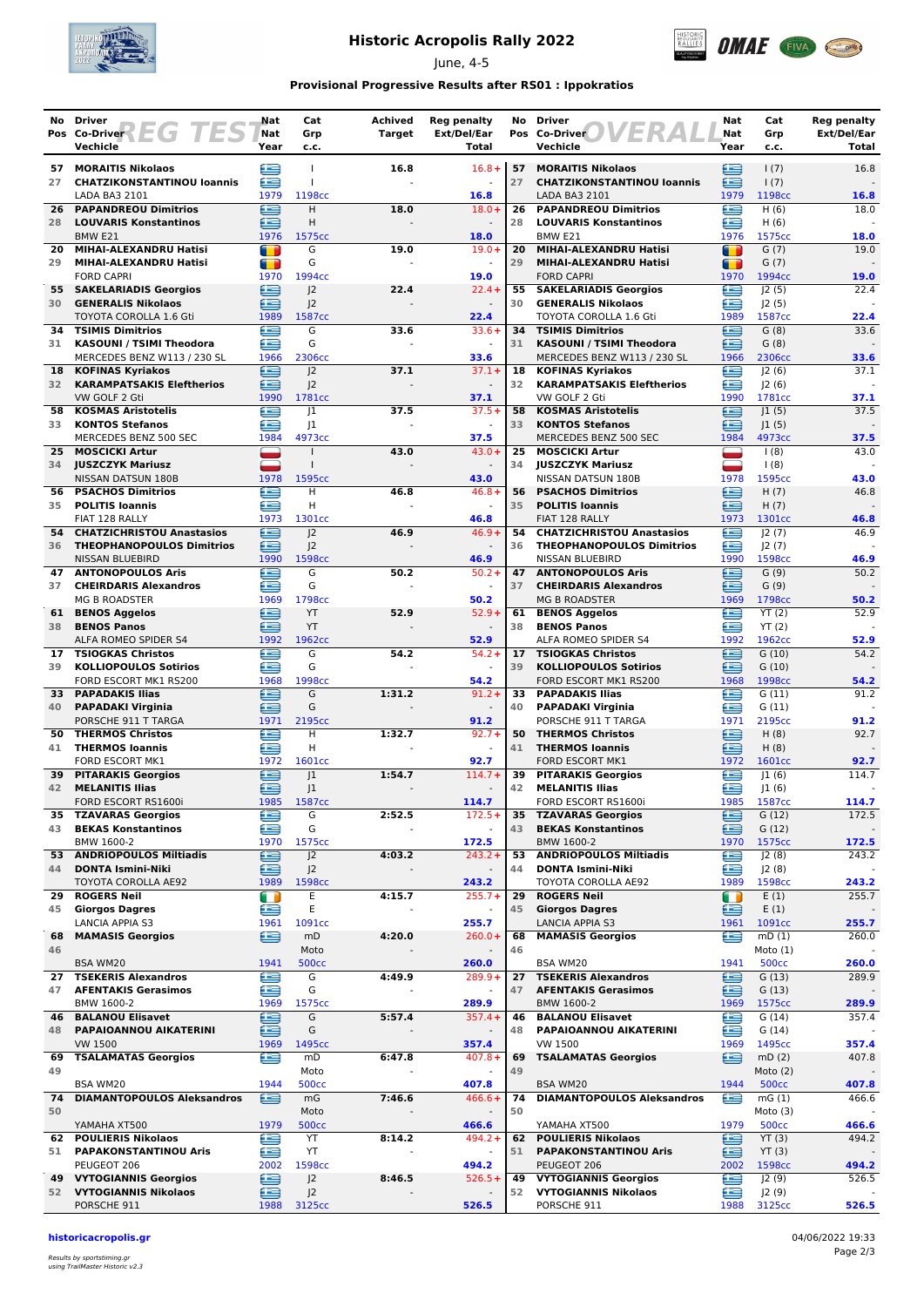

## **Historic Acropolis Rally 2022**

June, 4-5



### **Provisional Progressive Results after RS01 : Ippokratios**

| No       | <b>Driver</b>                                                  | Nat            | Cat                                  | <b>Achived</b> | <b>Reg penalty</b>                    | No       | <b>Driver</b>                                               | Nat         | Cat                   | <b>Reg penalty</b>   |
|----------|----------------------------------------------------------------|----------------|--------------------------------------|----------------|---------------------------------------|----------|-------------------------------------------------------------|-------------|-----------------------|----------------------|
|          | Pos Co-Driver <b>FG</b> TES<br>Vechicle                        | Nat<br>Year    | Grp<br>c.c.                          | Target         | Ext/Del/Ear<br>Total                  |          | ER<br>Pos Co-Driver<br>Vechicle                             | Nat<br>Year | Grp<br>c.c.           | Ext/Del/Ear<br>Total |
|          | 57 MORAITIS Nikolaos                                           |                | $\mathbf{I}$                         | 16.8           | $16.8+$                               | 57       | <b>MORAITIS Nikolaos</b>                                    |             | 1(7)                  | 16.8                 |
| 27       | <b>CHATZIKONSTANTINOU loannis</b>                              | ⊜<br>£         | $\mathbf{I}$                         |                |                                       | 27       | <b>CHATZIKONSTANTINOU loannis</b>                           | ≘<br>œ      | 1(7)                  |                      |
|          | LADA BA3 2101                                                  | 1979           | 1198cc                               |                | 16.8                                  |          | LADA BA3 2101                                               | 1979        | 1198cc                | 16.8                 |
| 28       | <b>26 PAPANDREOU Dimitrios</b><br><b>LOUVARIS Konstantinos</b> | ⊟<br>≘         | Н<br>Н                               | 18.0           | $18.0+$<br>$\overline{\phantom{a}}$   | 26<br>28 | <b>PAPANDREOU Dimitrios</b><br><b>LOUVARIS Konstantinos</b> | £<br>œ      | H(6)<br>H(6)          | 18.0                 |
|          | BMW <sub>E21</sub>                                             | 1976           | 1575cc                               |                | 18.0                                  |          | BMW E21                                                     | 1976        | 1575cc                | 18.0                 |
| 20       | MIHAI-ALEXANDRU Hatisi                                         | $\blacksquare$ | G                                    | 19.0           | $19.0+$                               | 20       | MIHAI-ALEXANDRU Hatisi                                      | m           | G(7)                  | 19.0                 |
| 29       | MIHAI-ALEXANDRU Hatisi                                         | T              | G<br>1994cc                          |                |                                       | 29       | MIHAI-ALEXANDRU Hatisi<br><b>FORD CAPRI</b>                 | Œ           | G(7)<br>1994cc        |                      |
| 55       | <b>FORD CAPRI</b><br><b>SAKELARIADIS Georgios</b>              | 1970<br>≘      | J <sub>2</sub>                       | 22.4           | 19.0<br>$22.4 +$                      | 55       | <b>SAKELARIADIS Georgios</b>                                | 1970<br>œ   | J2(5)                 | 19.0<br>22.4         |
| 30       | <b>GENERALIS Nikolaos</b>                                      | ≘              | 2                                    |                |                                       | 30       | <b>GENERALIS Nikolaos</b>                                   | £           | J2(5)                 |                      |
| 34       | TOYOTA COROLLA 1.6 Gti                                         | 1989           | 1587cc<br>G                          | 33.6           | 22.4<br>$33.6+$                       | 34       | TOYOTA COROLLA 1.6 Gti                                      | 1989<br>£   | 1587cc<br>G(8)        | 22.4<br>33.6         |
| 31       | <b>TSIMIS Dimitrios</b><br><b>KASOUNI / TSIMI Theodora</b>     | e<br>£         | G                                    |                | $\sim$                                | 31       | <b>TSIMIS Dimitrios</b><br><b>KASOUNI / TSIMI Theodora</b>  | œ           | G(8)                  |                      |
|          | MERCEDES BENZ W113 / 230 SL                                    | 1966           | 2306cc                               |                | 33.6                                  |          | MERCEDES BENZ W113 / 230 SL                                 | 1966        | 2306cc                | 33.6                 |
| 18       | <b>KOFINAS Kyriakos</b>                                        | œ              | 2                                    | 37.1           | $37.1+$                               | 18<br>32 | <b>KOFINAS Kyriakos</b>                                     | £           | 2(6)                  | 37.1                 |
| 32       | <b>KARAMPATSAKIS Eleftherios</b><br>VW GOLF 2 Gti              | ≘<br>1990      | J <sub>2</sub><br>1781cc             |                | 37.1                                  |          | <b>KARAMPATSAKIS Eleftherios</b><br>VW GOLF 2 Gti           | œ<br>1990   | 2(6) <br>1781cc       | 37.1                 |
| 58       | <b>KOSMAS Aristotelis</b>                                      | £              | 1                                    | 37.5           | $37.5+$                               | 58       | <b>KOSMAS Aristotelis</b>                                   | œ           | 1(5)                  | 37.5                 |
| 33       | <b>KONTOS Stefanos</b>                                         | £              | 1                                    |                |                                       | 33       | <b>KONTOS Stefanos</b>                                      | £           | 1(5)                  |                      |
| 25       | MERCEDES BENZ 500 SEC<br><b>MOSCICKI Artur</b>                 | 1984<br>_      | 4973cc                               | 43.0           | 37.5<br>$43.0+$                       | 25       | MERCEDES BENZ 500 SEC<br><b>MOSCICKI Artur</b>              | 1984<br>⊐   | 4973cc<br>1(8)        | 37.5<br>43.0         |
|          | 34 JUSZCZYK Mariusz                                            | پ              |                                      |                | $\blacksquare$                        | 34       | <b>JUSZCZYK Mariusz</b>                                     | -           | 1(8)                  |                      |
|          | NISSAN DATSUN 180B                                             | 1978           | 1595cc                               |                | 43.0                                  |          | NISSAN DATSUN 180B                                          | 1978        | 1595cc                | 43.0                 |
| 56<br>35 | <b>PSACHOS Dimitrios</b><br><b>POLITIS Ioannis</b>             | e<br>£         | н<br>H                               | 46.8           | $46.8+$                               | 56<br>35 | <b>PSACHOS Dimitrios</b><br><b>POLITIS Ioannis</b>          | œ<br>≘      | H(7)<br>H(7)          | 46.8                 |
|          | FIAT 128 RALLY                                                 | 1973           | 1301cc                               |                | 46.8                                  |          | FIAT 128 RALLY                                              | 1973        | 1301cc                | 46.8                 |
| 54       | <b>CHATZICHRISTOU Anastasios</b>                               | œ              | J <sub>2</sub>                       | 46.9           | $46.9+$                               | 54       | <b>CHATZICHRISTOU Anastasios</b>                            | œ           | J2(7)                 | 46.9                 |
| 36       | <b>THEOPHANOPOULOS Dimitrios</b><br><b>NISSAN BLUEBIRD</b>     | ∈<br>1990      | J <sup>2</sup><br>1598cc             |                | 46.9                                  | 36       | <b>THEOPHANOPOULOS Dimitrios</b><br><b>NISSAN BLUEBIRD</b>  | £<br>1990   | J2(7)<br>1598cc       | 46.9                 |
| 47       | <b>ANTONOPOULOS Aris</b>                                       | €              | G                                    | 50.2           | $50.2 +$                              | 47       | <b>ANTONOPOULOS Aris</b>                                    | œ           | G(9)                  | 50.2                 |
| 37       | <b>CHEIRDARIS Alexandros</b>                                   | œ              | G                                    |                | $\omega$                              | 37       | <b>CHEIRDARIS Alexandros</b>                                | ≘           | G(9)                  |                      |
| 61       | <b>MG B ROADSTER</b><br><b>BENOS Aggelos</b>                   | 1969<br>≘      | 1798cc<br>YT                         | 52.9           | 50.2<br>$52.9+$                       | 61       | <b>MG B ROADSTER</b><br><b>BENOS Aggelos</b>                | 1969<br>œ   | 1798cc<br>YT(2)       | 50.2<br>52.9         |
| 38       | <b>BENOS Panos</b>                                             | £              | YT                                   |                |                                       | 38       | <b>BENOS Panos</b>                                          | œ           | YT(2)                 |                      |
|          | ALFA ROMEO SPIDER S4                                           | 1992           | 1962 <sub>cc</sub>                   |                | 52.9                                  |          | ALFA ROMEO SPIDER S4                                        | 1992        | 1962cc                | 52.9                 |
| 17<br>39 | <b>TSIOGKAS Christos</b><br><b>KOLLIOPOULOS Sotirios</b>       | æ<br>Œ         | G<br>G                               | 54.2<br>$\sim$ | $54.2 +$                              | 17<br>39 | <b>TSIOGKAS Christos</b><br><b>KOLLIOPOULOS Sotirios</b>    | œ<br>£      | G(10)<br>G(10)        | 54.2                 |
|          | FORD ESCORT MK1 RS200                                          | 1968           | 1998cc                               |                | 54.2                                  |          | FORD ESCORT MK1 RS200                                       | 1968        | 1998cc                | 54.2                 |
|          | 33 PAPADAKIS Ilias                                             | ≘              | G                                    | 1:31.2         | $91.2 +$                              | 33       | <b>PAPADAKIS Ilias</b>                                      | œ           | G(11)                 | 91.2                 |
|          | 40 PAPADAKI Virginia<br>PORSCHE 911 T TARGA                    | ē<br>1971      | G<br>2195 <sub>cc</sub>              |                | $\blacksquare$<br>91.2                | 40       | <b>PAPADAKI Virginia</b><br>PORSCHE 911 T TARGA             | ≘<br>1971   | G(11)<br>2195cc       | 91.2                 |
| 50       | <b>THERMOS Christos</b>                                        | £              | н                                    | 1:32.7         | $92.7+$                               | 50       | <b>THERMOS Christos</b>                                     | £           | H(8)                  | 92.7                 |
| 41       | <b>THERMOS loannis</b>                                         | £              | н                                    |                |                                       | 41       | <b>THERMOS loannis</b>                                      | £           | H(8)                  |                      |
| 39       | <b>FORD ESCORT MK1</b><br><b>PITARAKIS Georgios</b>            | 1972<br>€      | 1601cc<br>J1                         | 1:54.7         | 92.7<br>$114.7+$                      | 39       | <b>FORD ESCORT MK1</b><br><b>PITARAKIS Georgios</b>         | 1972<br>⋐   | 1601cc<br> 1(6)       | 92.7<br>114.7        |
| 42       | <b>MELANITIS Ilias</b>                                         | œ              | 1                                    |                |                                       | 42       | <b>MELANITIS Ilias</b>                                      | Œ           | J1(6)                 |                      |
|          | FORD ESCORT RS1600i                                            | 1985           | 1587cc                               |                | 114.7                                 |          | FORD ESCORT RS1600i<br><b>TZAVARAS Georgios</b>             | 1985        | 1587 <sub>cc</sub>    | 114.7                |
| 43       | 35 TZAVARAS Georgios<br><b>BEKAS Konstantinos</b>              | ⋐<br>œ         | G<br>G                               | 2:52.5         | $172.5+$                              | 35<br>43 | <b>BEKAS Konstantinos</b>                                   | ≘<br>∈      | G(12)<br>G(12)        | 172.5                |
|          | BMW 1600-2                                                     | 1970           | 1575cc                               |                | 172.5                                 |          | BMW 1600-2                                                  | 1970        | 1575cc                | 172.5                |
| 53<br>44 | <b>ANDRIOPOULOS Miltiadis</b>                                  | ⊜              | J <sup>2</sup>                       | 4:03.2         | $243.2 +$                             | 53       | <b>ANDRIOPOULOS Miltiadis</b><br><b>DONTA Ismini-Niki</b>   | ⋐           | J2(8)                 | 243.2                |
|          | <b>DONTA Ismini-Niki</b><br>TOYOTA COROLLA AE92                | ≘<br>1989      | J <sub>2</sub><br>1598cc             |                | 243.2                                 | 44       | TOYOTA COROLLA AE92                                         | œ<br>1989   | J2(8)<br>1598cc       | 243.2                |
| 29       | <b>ROGERS Neil</b>                                             | Œ              | Ε                                    | 4:15.7         | $255.7+$                              | 29       | <b>ROGERS Neil</b>                                          | O           | E(1)                  | 255.7                |
| 45       | <b>Giorgos Dagres</b>                                          | ≘              | Ε                                    |                | $\blacksquare$                        | 45       | <b>Giorgos Dagres</b>                                       | ∈<br>1961   | E(1)                  |                      |
| 68       | LANCIA APPIA S3<br><b>MAMASIS Georgios</b>                     | 1961<br>£      | 1091cc<br>mD                         | 4:20.0         | 255.7<br>$260.0+$                     | 68       | LANCIA APPIA S3<br><b>MAMASIS Georgios</b>                  | œ           | 1091cc<br>mD(1)       | 255.7<br>260.0       |
| 46       |                                                                |                | Moto                                 |                |                                       | 46       |                                                             |             | Moto $(1)$            |                      |
|          | <b>BSA WM20</b><br><b>TSEKERIS Alexandros</b>                  | 1941<br>∈      | <b>500cc</b>                         | 4:49.9         | 260.0<br>$289.9+$                     |          | BSA WM20<br><b>TSEKERIS Alexandros</b>                      | 1941<br>≘   | <b>500cc</b>          | 260.0                |
| 27<br>47 | <b>AFENTAKIS Gerasimos</b>                                     | £              | G<br>G                               |                |                                       | 27<br>47 | <b>AFENTAKIS Gerasimos</b>                                  | £           | G(13)<br>G(13)        | 289.9                |
|          | BMW 1600-2                                                     | 1969           | 1575cc                               |                | 289.9                                 |          | BMW 1600-2                                                  | 1969        | 1575cc                | 289.9                |
| 46       | <b>BALANOU Elisavet</b>                                        | ఆ              | G<br>G                               | 5:57.4         | $357.4 +$                             | 46       | <b>BALANOU Elisavet</b>                                     | ∈           | G(14)                 | 357.4                |
| 48       | PAPAIOANNOU AIKATERINI<br><b>VW 1500</b>                       | ఆ<br>1969      | 1495 <sub>cc</sub>                   |                | 357.4                                 | 48       | PAPAIOANNOU AIKATERINI<br>VW 1500                           | œ<br>1969   | G(14)<br>1495cc       | 357.4                |
| 69       | <b>TSALAMATAS Georgios</b>                                     | ≘              | mD                                   | 6:47.8         | $407.8 +$                             | 69       | <b>TSALAMATAS Georgios</b>                                  | œ           | mD(2)                 | 407.8                |
| 49       |                                                                |                | Moto                                 |                | $\blacksquare$                        | 49       |                                                             |             | Moto $(2)$            |                      |
| 74       | BSA WM20<br><b>DIAMANTOPOULOS Aleksandros</b>                  | 1944<br>鱼      | <b>500cc</b><br>mG                   | 7:46.6         | 407.8<br>$466.6+$                     | 74       | BSA WM20<br><b>DIAMANTOPOULOS Aleksandros</b>               | 1944<br>œ   | <b>500cc</b><br>mG(1) | 407.8<br>466.6       |
| 50       |                                                                |                | Moto                                 |                | $\overline{\phantom{a}}$              | 50       |                                                             |             | Moto $(3)$            |                      |
|          | YAMAHA XT500                                                   | 1979           | <b>500cc</b>                         |                | 466.6                                 |          | YAMAHA XT500                                                | 1979        | <b>500cc</b>          | 466.6                |
| 62<br>51 | <b>POULIERIS Nikolaos</b><br><b>PAPAKONSTANTINOU Aris</b>      | e<br>≘         | YT<br>YT                             | 8:14.2         | $494.2 +$<br>$\overline{\phantom{a}}$ | 62<br>51 | <b>POULIERIS Nikolaos</b><br><b>PAPAKONSTANTINOU Aris</b>   | ⊟<br>≘      | YT(3)<br>YT(3)        | 494.2                |
|          | PEUGEOT 206                                                    | 2002           | 1598cc                               |                | 494.2                                 |          | PEUGEOT 206                                                 | 2002        | 1598cc                | 494.2                |
|          | <b>49 VYTOGIANNIS Georgios</b>                                 | ⊜              | J <sub>2</sub>                       | 8:46.5         | $526.5+$                              | 49       | <b>VYTOGIANNIS Georgios</b>                                 | ≘           | J2(9)                 | 526.5                |
|          | 52 VYTOGIANNIS Nikolaos<br>PORSCHE 911                         | ఆ<br>1988      | J <sub>2</sub><br>3125 <sub>cc</sub> |                | 526.5                                 | 52       | <b>VYTOGIANNIS Nikolaos</b><br>PORSCHE 911                  | e<br>1988   | J2(9)<br>3125cc       | 526.5                |
|          |                                                                |                |                                      |                |                                       |          |                                                             |             |                       |                      |

**historicacropolis.gr** 04/06/2022 19:33

Results by sportstiming.gr using TrailMaster Historic v2.3